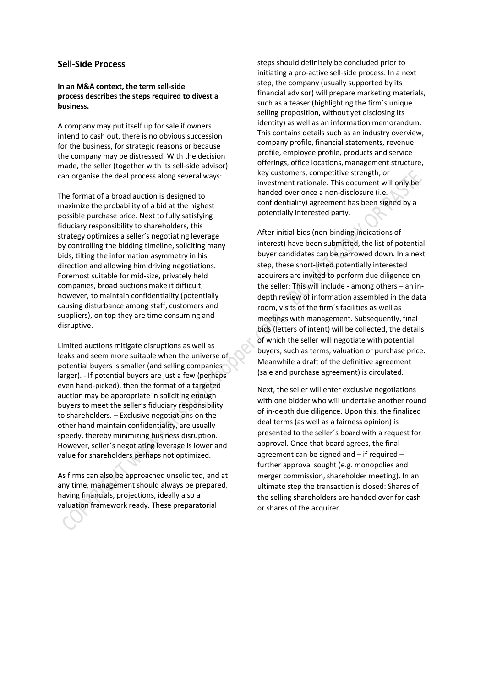## **Sell-Side Process**

## **In an M&A context, the term sell-side process describes the steps required to divest a business.**

A company may put itself up for sale if owners intend to cash out, there is no obvious succession for the business, for strategic reasons or because the company may be distressed. With the decision made, the seller (together with its sell-side advisor) can organise the deal process along several ways:

The format of a broad auction is designed to maximize the probability of a bid at the highest possible purchase price. Next to fully satisfying fiduciary responsibility to shareholders, this strategy optimizes a seller's negotiating leverage by controlling the bidding timeline, soliciting many bids, tilting the information asymmetry in his direction and allowing him driving negotiations. Foremost suitable for mid-size, privately held companies, broad auctions make it difficult, however, to maintain confidentiality (potentially causing disturbance among staff, customers and suppliers), on top they are time consuming and disruptive.

Limited auctions mitigate disruptions as well as leaks and seem more suitable when the universe of potential buyers is smaller (and selling companies larger). - If potential buyers are just a few (perhaps even hand-picked), then the format of a targeted auction may be appropriate in soliciting enough buyers to meet the seller's fiduciary responsibility to shareholders. – Exclusive negotiations on the other hand maintain confidentiality, are usually speedy, thereby minimizing business disruption. However, seller´s negotiating leverage is lower and value for shareholders perhaps not optimized.

As firms can also be approached unsolicited, and at any time, management should always be prepared, having financials, projections, ideally also a valuation framework ready. These preparatorial

steps should definitely be concluded prior to initiating a pro-active sell-side process. In a next step, the company (usually supported by its financial advisor) will prepare marketing materials, such as a teaser (highlighting the firm´s unique selling proposition, without yet disclosing its identity) as well as an information memorandum. This contains details such as an industry overview, company profile, financial statements, revenue profile, employee profile, products and service offerings, office locations, management structure, key customers, competitive strength, or investment rationale. This document will only be handed over once a non-disclosure (i.e. confidentiality) agreement has been signed by a potentially interested party.

After initial bids (non-binding indications of interest) have been submitted, the list of potential buyer candidates can be narrowed down. In a next step, these short-listed potentially interested acquirers are invited to perform due diligence on the seller: This will include - among others – an indepth review of information assembled in the data room, visits of the firm´s facilities as well as meetings with management. Subsequently, final bids (letters of intent) will be collected, the details of which the seller will negotiate with potential buyers, such as terms, valuation or purchase price. Meanwhile a draft of the definitive agreement (sale and purchase agreement) is circulated.

Next, the seller will enter exclusive negotiations with one bidder who will undertake another round of in-depth due diligence. Upon this, the finalized deal terms (as well as a fairness opinion) is presented to the seller´s board with a request for approval. Once that board agrees, the final agreement can be signed and – if required – further approval sought (e.g. monopolies and merger commission, shareholder meeting). In an ultimate step the transaction is closed: Shares of the selling shareholders are handed over for cash or shares of the acquirer.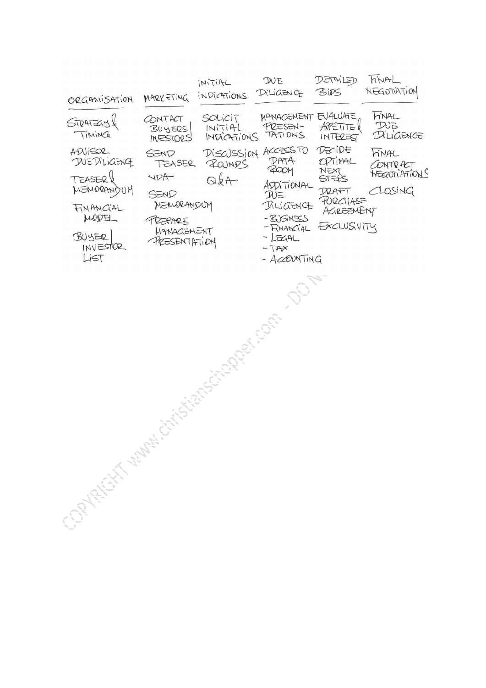| ORGANISATION                                                                                             | MARKETING                                                                             | INITIAL<br>INDICATIONS            | DUE<br>DILIGENCE                                                                                                                                                 | DETAILED<br><b>BIDS</b>                                                             | hNAL<br>NEGOTIATION                                    |
|----------------------------------------------------------------------------------------------------------|---------------------------------------------------------------------------------------|-----------------------------------|------------------------------------------------------------------------------------------------------------------------------------------------------------------|-------------------------------------------------------------------------------------|--------------------------------------------------------|
| STRATEGYX<br>TIMING                                                                                      | CONTACT<br>BUYERS<br>INESTORS                                                         | SOLicij<br>INITIAL<br>INDICATIONS | MANAGEMENT EVALUATE<br>PRESEN-<br>TATIONS                                                                                                                        | APPETITEX<br>INTEREST                                                               | <b>FINAL</b><br>$D\cup\Xi$<br>DILIGENCE                |
| ADJISOR<br>DUEDILIGENCE<br>TEASER &<br>MENORANDUM<br>FINANCIAL<br>MODEL<br>BUYER<br>$INV = STOR$<br>LIST | SEND<br>TEASER<br>NDA<br>SEND<br>MEMORANDUM<br>PREPARE<br>MANACIEMENT<br>PRESENTATION | ROUNDS<br>$Qk +$                  | DISCUSSION ACCESS TO<br>DATA<br><b>ZOOM</b><br>ASDITIONAL<br>$D\nu \equiv$<br>DILIGENCE<br>- ZUSINESS<br>- FINANCIAL<br>$-L\equiv AAL$<br>$-TAX$<br>- ACCOUNTING | DECIDE<br>OPTIMAL<br>NEXT<br>STEPS<br>D2ATT<br>PURCHASE<br>AGREENENT<br>EXCLUSIVITY | <b>hinAL</b><br>CONTRACT<br>NEGOTIATIONS<br>$C$ LOSING |
| Clay Richts Clay Clay                                                                                    |                                                                                       | Children Rolling (Children        |                                                                                                                                                                  |                                                                                     |                                                        |